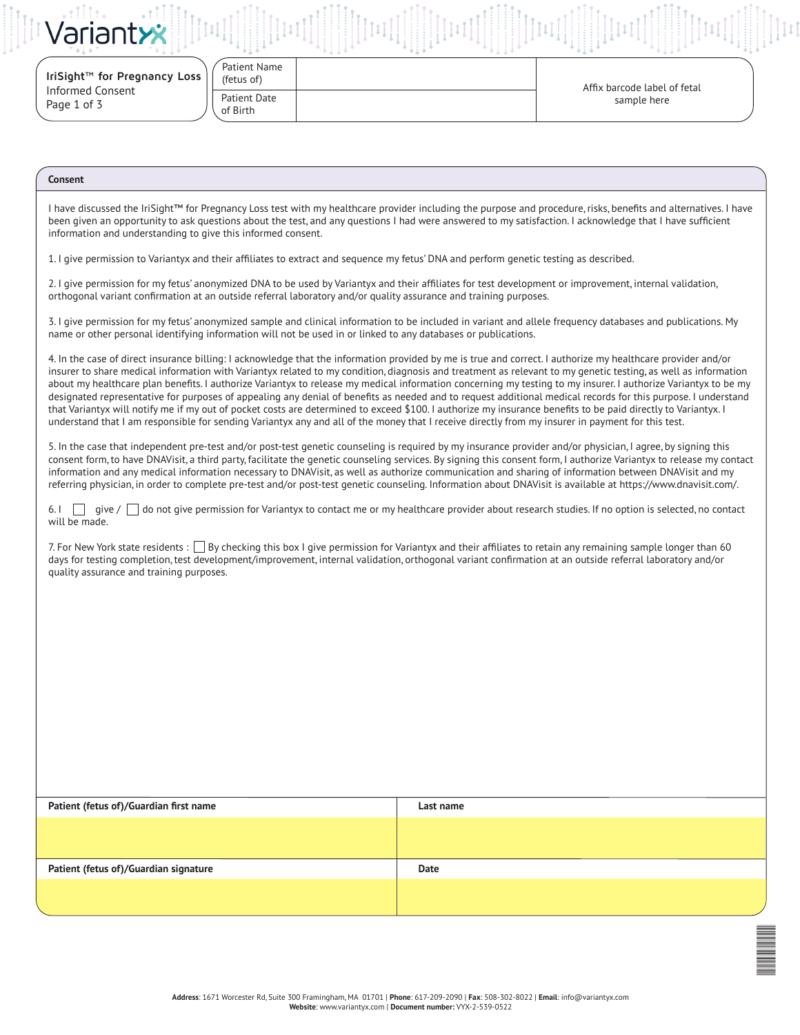|  | Variantxx |  |  |
|--|-----------|--|--|

 $-0.7 - 0.$ 

| IriSight™ for Pregnancy Loss |  |
|------------------------------|--|
| Informed Consent             |  |
| Page 1 of 3                  |  |

| (fetus of)   |  |
|--------------|--|
| Patient Date |  |
| of Birth     |  |

Patient Name

Affix barcode label of fetal sample here

 $\equiv$ 

## **Consent**

I have discussed the IriSight™ for Pregnancy Loss test with my healthcare provider including the purpose and procedure, risks, benefits and alternatives. I have been given an opportunity to ask questions about the test, and any questions I had were answered to my satisfaction. I acknowledge that I have sufficient information and understanding to give this informed consent.

1. I give permission to Variantyx and their affiliates to extract and sequence my fetus' DNA and perform genetic testing as described.

2. I give permission for my fetus' anonymized DNA to be used by Variantyx and their affiliates for test development or improvement, internal validation, orthogonal variant confirmation at an outside referral laboratory and/or quality assurance and training purposes.

3. I give permission for my fetus' anonymized sample and clinical information to be included in variant and allele frequency databases and publications. My name or other personal identifying information will not be used in or linked to any databases or publications.

4. In the case of direct insurance billing: I acknowledge that the information provided by me is true and correct. I authorize my healthcare provider and/or insurer to share medical information with Variantyx related to my condition, diagnosis and treatment as relevant to my genetic testing, as well as information about my healthcare plan benefits. I authorize Variantyx to release my medical information concerning my testing to my insurer. I authorize Variantyx to be my designated representative for purposes of appealing any denial of benefits as needed and to request additional medical records for this purpose. I understand that Variantyx will notify me if my out of pocket costs are determined to exceed \$100. I authorize my insurance benefits to be paid directly to Variantyx. I understand that I am responsible for sending Variantyx any and all of the money that I receive directly from my insurer in payment for this test.

5. In the case that independent pre-test and/or post-test genetic counseling is required by my insurance provider and/or physician, I agree, by signing this consent form, to have DNAVisit, a third party, facilitate the genetic counseling services. By signing this consent form, I authorize Variantyx to release my contact information and any medical information necessary to DNAVisit, as well as authorize communication and sharing of information between DNAVisit and my referring physician, in order to complete pre-test and/or post-test genetic counseling. Information about DNAVisit is available at https://www.dnavisit.com/.

6. I give /  $\Box$  do not give permission for Variantyx to contact me or my healthcare provider about research studies. If no option is selected, no contact will be made.

7. For New York state residents :  $\Box$  By checking this box I give permission for Variantyx and their affiliates to retain any remaining sample longer than 60 days for testing completion, test development/improvement, internal validation, orthogonal variant confirmation at an outside referral laboratory and/or quality assurance and training purposes.

| Patient (fetus of)/Guardian first name | Last name |
|----------------------------------------|-----------|
|                                        |           |
|                                        |           |
| Patient (fetus of)/Guardian signature  | Date      |
|                                        |           |
|                                        |           |

**Address**: 1671 Worcester Rd, Suite 300 Framingham, MA 01701 | **Phone**: 617-209-2090 | **Fax**: 508-302-8022 | **Email**: info@variantyx.com **Website**: www.variantyx.com | **Document number:** VYX-2-539-0522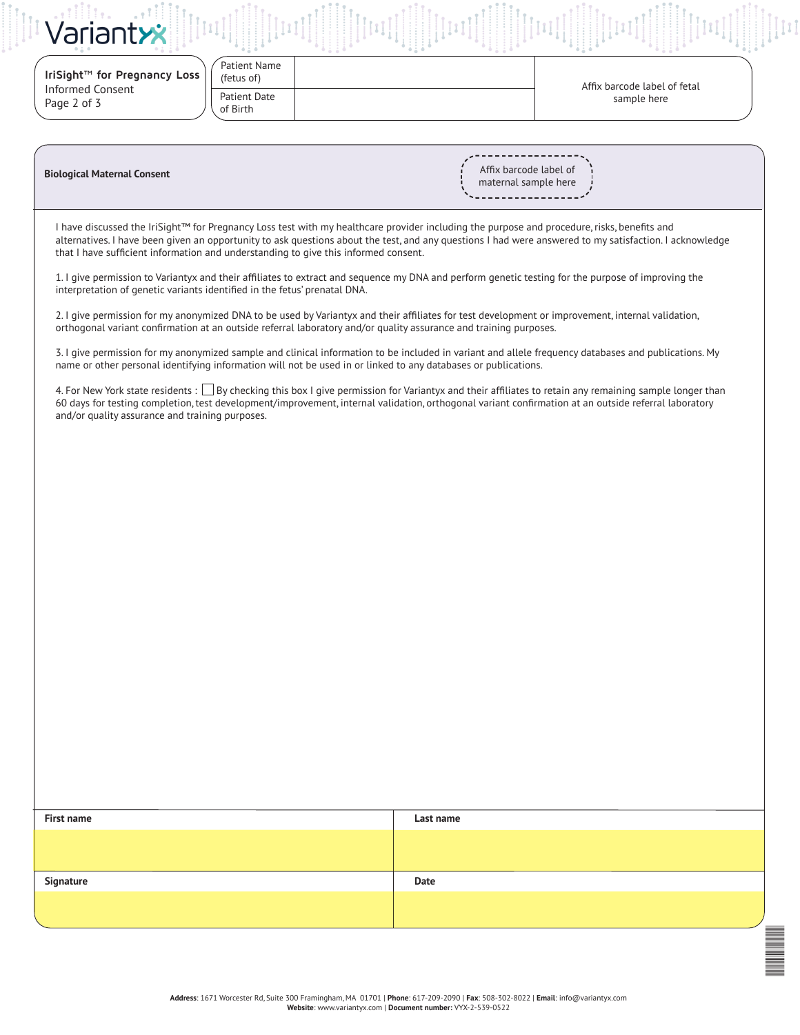| Variantxx                              |                            |                              |
|----------------------------------------|----------------------------|------------------------------|
| IriSight™ for Pregnancy Loss           | Patient Name<br>(fetus of) | Affix barcode label of fetal |
| <b>Informed Consent</b><br>Page 2 of 3 | Patient Date<br>of Birth   | sample here                  |

| <b>Biological Maternal Consent</b> |  |  |  |  |
|------------------------------------|--|--|--|--|
|------------------------------------|--|--|--|--|

Affix barcode label of maternal sample here

I have discussed the IriSight™ for Pregnancy Loss test with my healthcare provider including the purpose and procedure, risks, benefits and alternatives. I have been given an opportunity to ask questions about the test, and any questions I had were answered to my satisfaction. I acknowledge that I have sufficient information and understanding to give this informed consent.

1. I give permission to Variantyx and their affiliates to extract and sequence my DNA and perform genetic testing for the purpose of improving the interpretation of genetic variants identified in the fetus' prenatal DNA.

2. I give permission for my anonymized DNA to be used by Variantyx and their affiliates for test development or improvement, internal validation, orthogonal variant confirmation at an outside referral laboratory and/or quality assurance and training purposes.

3. I give permission for my anonymized sample and clinical information to be included in variant and allele frequency databases and publications. My name or other personal identifying information will not be used in or linked to any databases or publications.

4. For New York state residents : By checking this box I give permission for Variantyx and their affiliates to retain any remaining sample longer than 60 days for testing completion, test development/improvement, internal validation, orthogonal variant confirmation at an outside referral laboratory and/or quality assurance and training purposes.

| First name | Last name |
|------------|-----------|
|            |           |
|            |           |
| Signature  | Date      |
|            |           |
|            |           |
|            |           |
|            |           |